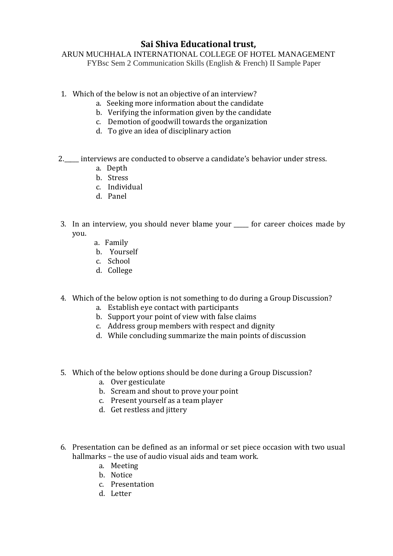# **Sai Shiva Educational trust,**

ARUN MUCHHALA INTERNATIONAL COLLEGE OF HOTEL MANAGEMENT FYBsc Sem 2 Communication Skills (English & French) II Sample Paper

- 1. Which of the below is not an objective of an interview?
	- a. Seeking more information about the candidate
	- b. Verifying the information given by the candidate
	- c. Demotion of goodwill towards the organization
	- d. To give an idea of disciplinary action
- 2. \_\_\_\_ interviews are conducted to observe a candidate's behavior under stress.
	- a. Depth
	- b. Stress
	- c. Individual
	- d. Panel
- 3. In an interview, you should never blame your \_\_\_\_\_ for career choices made by you.
	- a. Family
	- b. Yourself
	- c. School
	- d. College
- 4. Which of the below option is not something to do during a Group Discussion?
	- a. Establish eye contact with participants
	- b. Support your point of view with false claims
	- c. Address group members with respect and dignity
	- d. While concluding summarize the main points of discussion
- 5. Which of the below options should be done during a Group Discussion?
	- a. Over gesticulate
	- b. Scream and shout to prove your point
	- c. Present yourself as a team player
	- d. Get restless and jittery
- 6. Presentation can be defined as an informal or set piece occasion with two usual hallmarks – the use of audio visual aids and team work.
	- a. Meeting
	- b. Notice
	- c. Presentation
	- d. Letter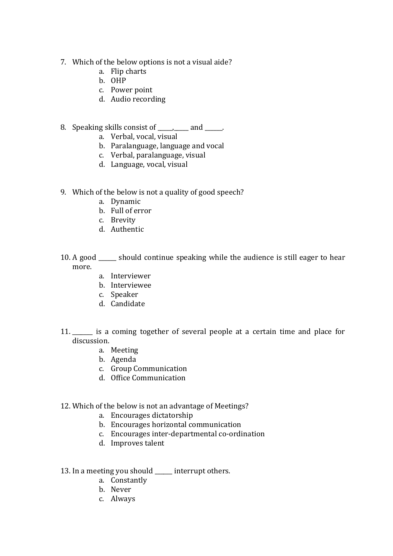- 7. Which of the below options is not a visual aide?
	- a. Flip charts
	- b. OHP
	- c. Power point
	- d. Audio recording
- 8. Speaking skills consist of  $\qquad \qquad$  and  $\qquad \qquad$ .
	- a. Verbal, vocal, visual
	- b. Paralanguage, language and vocal
	- c. Verbal, paralanguage, visual
	- d. Language, vocal, visual
- 9. Which of the below is not a quality of good speech?
	- a. Dynamic
	- b. Full of error
	- c. Brevity
	- d. Authentic
- 10. A good \_\_\_\_\_\_ should continue speaking while the audience is still eager to hear more.
	- a. Interviewer
	- b. Interviewee
	- c. Speaker
	- d. Candidate
- 11. \_\_\_\_\_\_\_ is a coming together of several people at a certain time and place for discussion.
	- a. Meeting
	- b. Agenda
	- c. Group Communication
	- d. Office Communication

#### 12. Which of the below is not an advantage of Meetings?

- a. Encourages dictatorship
- b. Encourages horizontal communication
- c. Encourages inter-departmental co-ordination
- d. Improves talent

#### 13. In a meeting you should \_\_\_\_\_ interrupt others.

- a. Constantly
- b. Never
- c. Always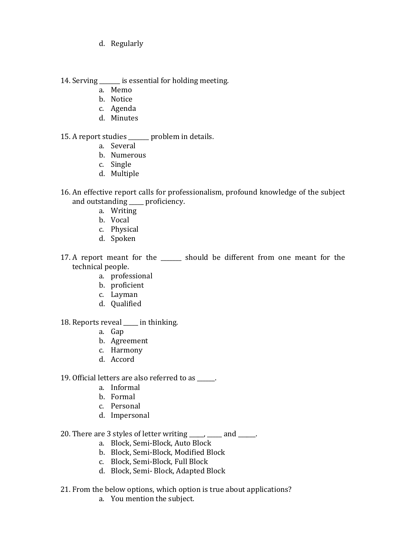d. Regularly

14. Serving is essential for holding meeting.

- a. Memo
- b. Notice
- c. Agenda
- d. Minutes

#### 15. A report studies \_\_\_\_\_\_\_ problem in details.

- a. Several
- b. Numerous
- c. Single
- d. Multiple
- 16. An effective report calls for professionalism, profound knowledge of the subject and outstanding proficiency.
	- a. Writing
	- b. Vocal
	- c. Physical
	- d. Spoken
- 17. A report meant for the should be different from one meant for the technical people.
	- a. professional
	- b. proficient
	- c. Layman
	- d. Qualified

## 18. Reports reveal \_\_\_\_\_ in thinking.

- a. Gap
- b. Agreement
- c. Harmony
- d. Accord

19. Official letters are also referred to as \_\_\_\_\_\_.

- a. Informal
- b. Formal
- c. Personal
- d. Impersonal

# 20. There are 3 styles of letter writing \_\_\_\_\_, \_\_\_\_ and \_\_\_\_\_.

- a. Block, Semi-Block, Auto Block
- b. Block, Semi-Block, Modified Block
- c. Block, Semi-Block, Full Block
- d. Block, Semi- Block, Adapted Block
- 21. From the below options, which option is true about applications?
	- a. You mention the subject.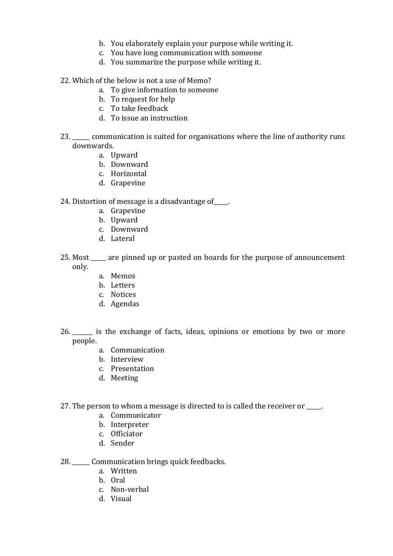- b. You elaborately explain your purpose while writing it.
- c. You have long communication with someone
- d. You summarize the purpose while writing it.
- 22. Which of the below is not a use of Memo?
	- a. To give information to someone
	- b. To request for help
	- c. To take feedback
	- d. To issue an instruction
- 23. \_\_\_\_\_\_ communication is suited for organisations where the line of authority runs downwards.
	- a. Upward
	- b. Downward
	- c. Horizontal
	- d. Grapevine
- 24. Distortion of message is a disadvantage of\_\_\_\_\_.
	- a. Grapevine
	- b. Upward
	- c. Downward
	- d. Lateral
- 25. Most \_\_\_\_\_ are pinned up or pasted on boards for the purpose of announcement only.
	- a. Memos
	- b. Letters
	- c. Notices
	- d. Agendas
- 26.  $\quad$  is the exchange of facts, ideas, opinions or emotions by two or more people.
	- a. Communication
	- b. Interview
	- c. Presentation
	- d. Meeting
- 27. The person to whom a message is directed to is called the receiver or  $\blacksquare$ .
	- a. Communicator
	- b. Interpreter
	- c. Officiator
	- d. Sender
- 28. \_\_\_\_\_\_ Communication brings quick feedbacks.
	- a. Written
	- b. Oral
	- c. Non-verbal
	- d. Visual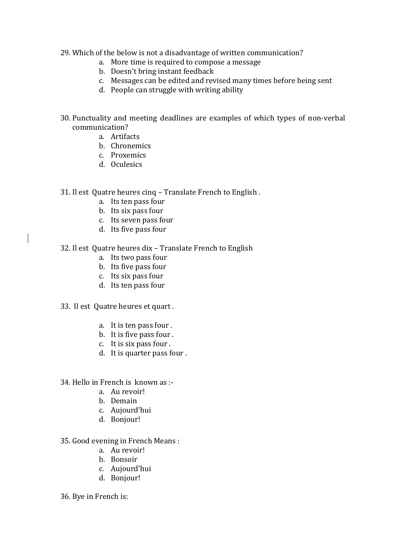- 29. Which of the below is not a disadvantage of written communication?
	- a. More time is required to compose a message
	- b. Doesn't bring instant feedback
	- c. Messages can be edited and revised many times before being sent
	- d. People can struggle with writing ability
- 30. Punctuality and meeting deadlines are examples of which types of non-verbal communication?
	- a. Artifacts
	- b. Chronemics
	- c. Proxemics
	- d. Oculesics
- 31. Il est Quatre heures cinq Translate French to English .
	- a. Its ten pass four
	- b. Its six pass four
	- c. Its seven pass four
	- d. Its five pass four
- 32. Il est Quatre heures dix Translate French to English
	- a. Its two pass four
	- b. Its five pass four
	- c. Its six pass four
	- d. Its ten pass four
- 33. Il est Quatre heures et quart .
	- a. It is ten pass four .
	- b. It is five pass four .
	- c. It is six pass four .
	- d. It is quarter pass four .
- 34. Hello in French is known as :
	- a. Au revoir!
	- b. Demain
	- c. Aujourd'hui
	- d. Bonjour!
- 35. Good evening in French Means :
	- a. Au revoir!
	- b. Bonsoir
	- c. Aujourd'hui
	- d. Bonjour!
- 36. Bye in French is: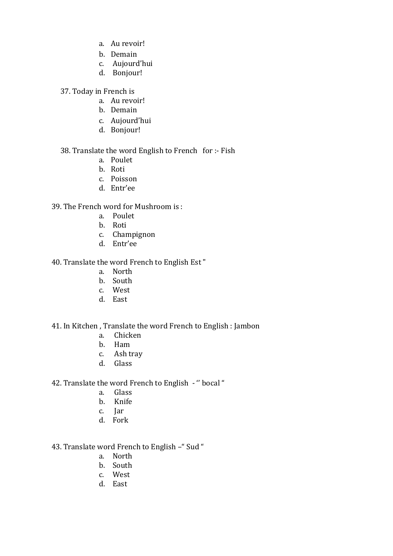- a. Au revoir!
- b. Demain
- c. Aujourd'hui
- d. Bonjour!
- 37. Today in French is
	- a. Au revoir!
	- b. Demain
	- c. Aujourd'hui
	- d. Bonjour!

#### 38. Translate the word English to French for :- Fish

- a. Poulet
- b. Roti
- c. Poisson
- d. Entr'ee

## 39. The French word for Mushroom is :

- a. Poulet
- b. Roti
- c. Champignon
- d. Entr'ee

### 40. Translate the word French to English Est "

- a. North
- b. South
- c. West
- d. East

#### 41. In Kitchen , Translate the word French to English : Jambon

- a. Chicken
- b. Ham
- c. Ash tray
- d. Glass

### 42. Translate the word French to English - '' bocal "

- a. Glass
- b. Knife
- c. Jar
- d. Fork

## 43. Translate word French to English –" Sud "

- a. North
- b. South
- c. West
- d. East